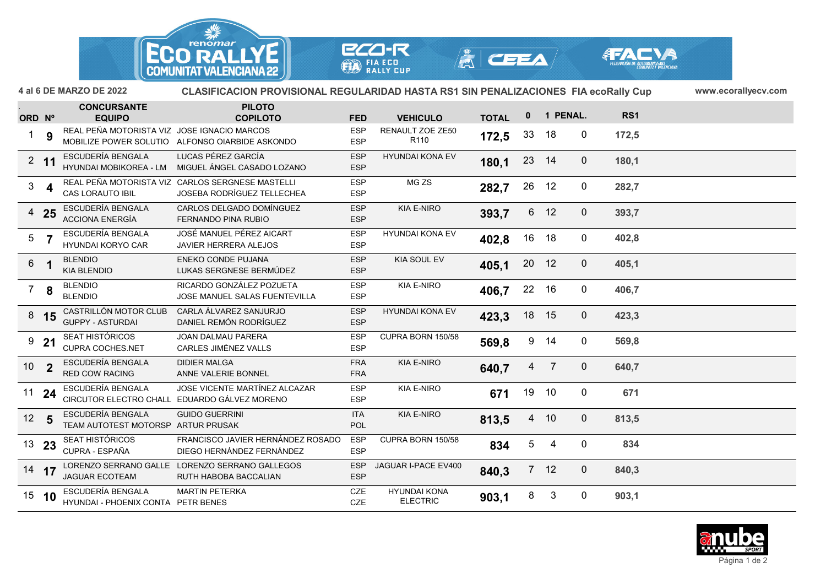



**ECO-R** 



ORD Nº **EQUIPO PILOTO ORD COPILOTO FED VEHICULO PENAL. TOTAL <sup>0</sup> <sup>1</sup> 4 al 6 DE MARZO DE 2022 www.ecorallyecv.comCLASIFICACION PROVISIONAL REGULARIDAD HASTA RS1 SIN PENALIZACIONES FIA ecoRally CupRS1CONCURSANTE9**REAL PEÑA MOTORISTA VIZ JOSE IGNACIO MARCOS ESP RENAULT ZOE ZE50 **172,5** 33 18 0 172,5<br>
R110 **9** MOBILIZE POWER SOLUTIO ALFONSO OIARBIDE ASKONDO ESP R110 **172,5** 13 18 0 172,5 **11** ESCUDERÍA BENGALA LUCAS PÉREZ GARCÍA ESP MIGUEL ÁNGEL CASADO LOZANO ESP HYUNDAI KONA EV <sup>2</sup> **180,1** <sup>23</sup> <sup>14</sup> <sup>0</sup> **180,1** HYUNDAI MOBIKOREA - LM **4**REAL PEÑA MOTORISTA VIZ CARLOS SERGNESE MASTELLI ESP MG ZS **282,7** 26 12 0 282,7 **25** ESCUDERÍA BENGALA CARLOS DELGADO DOMÍNGUEZ ESP FERNANDO PINA RUBIO ESP KIA E-NIRO <sup>4</sup> **393,7** <sup>6</sup> <sup>12</sup> <sup>0</sup> **393,7** ACCIONA ENERGÍA **7** ESCUDERÍA BENGALA JOSÉ MANUEL PÉREZ AICART ESP JAVIER HERRERA ALEJOS ESP HYUNDAI KONA EV <sup>5</sup> **402,8** <sup>16</sup> <sup>18</sup> <sup>0</sup> **402,8** HYUNDAI KORYO CAR **1** BLENDIO ENEKO CONDE PUJANA ESP LUKAS SERGNESE BERMÚDEZ ESP KIA SOUL EV <sup>6</sup> **405,1** <sup>20</sup> <sup>12</sup> <sup>0</sup> **405,1** KIA BLENDIO**8** BLENDIO RICARDO GONZÁLEZ POZUETA ESP JOSE MANUEL SALAS FUENTEVILLA ESP KIA E-NIRO <sup>7</sup> **406,7** <sup>22</sup> <sup>16</sup> <sup>0</sup> **406,7** BLENDIOCASTRILLÓN MOTOR CLUB **15** CASTRILLÓN MOTOR CLUB CARLA ÁLVAREZ SANJURJO ESP DANIEL REMÓN RODRÍGUEZ ESP HYUNDAI KONA EV <sup>8</sup> **423,3** <sup>18</sup> <sup>15</sup> <sup>0</sup> **423,3** GUPPY - ASTURDAI **21**9 **21** SEAT HISTÓRICOS JOAN DALMAU PARERA ESP CUPRA BORN 150/58 **569,8** 9 14 0 **569,8**<br>ESP CARLES JIMÈNEZ VALLS ESP **2**ESCUDERÍA BENGALA DIDIER MALGA FRA FRA FRA ANNE VALERIE BONNEL FRA FRA FRA FRA ANNE VALERIE BONNEL FRA FRA FRA ANNE VALERIE BONNEL FRA FRA ANNE VALERIE BONNEL FRA ANNE VALERIE BONNEL FRA FRA ANNE VALERIE BONNEL FRA ANNE VA KIA E-NIRO <sup>10</sup> **640,7** <sup>4</sup> <sup>7</sup> <sup>0</sup> **640,7** RED COW RACINGESCUDERÍA BENGALA **24**ESCUDERÍA BENGALA JOSE VICENTE MARTÍNEZ ALCAZAR ESP KIA E-NIRO **671** 19 10 0 **671 1**<br>CIRCUTOR ELECTRO CHALL EDUARDO GÁLVEZ MORENO ESP ESP **5**ESCUDERÍA BENGALA GUIDO GUERRINI ITA KIA E-NIRO **12 813,5** 4 10 0 **813,5**<br>TEAM AUTOTEST MOTORSP ARTUR PRUSAK POL POL **23** SEAT HISTÓRICOS FRANCISCO JAVIER HERNÁNDEZ ROSADO ESP DIEGO HERNÁNDEZ FERNÁNDEZ ESP CUPRA BORN 150/58 <sup>13</sup> **<sup>834</sup>** <sup>5</sup> <sup>4</sup> <sup>0</sup> **<sup>834</sup>** CUPRA - ESPAÑA **17** LORENZO SERRANO GALLE LORENZO SERRANO GALLEGOS ESP RUTH HABOBA BACCALIAN ESP JAGUAR I-PACE EV400 <sup>14</sup> **840,3** <sup>7</sup> <sup>12</sup> <sup>0</sup> **840,3** JAGUAR ECOTEAM **10**ESCUDERÍA BENGALA MARTIN PETERKA CZE PETR BENES<br>HYLINDAL - PHOENIX CONTA PETR BENES 15 10 ESCUDERIA BENGALA MARTIN PETERKA CZE HYUNDAI KONA 16 3 0 903,1<br>CZE ELECTRIC 1903,1 8 3 0 903,1